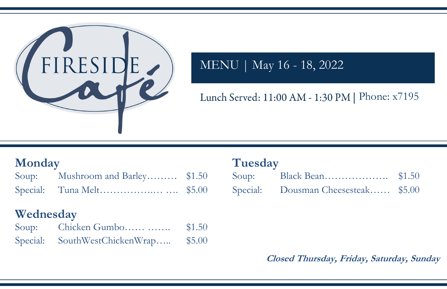| up: |                                   |  |
|-----|-----------------------------------|--|
|     | ecial: Dousman Cheesesteak \$5.00 |  |



# MENU | May 16 - 18, 2022

## Lunch Served: 11:00 AM - 1:30 PM | Phone: x7195

## **Closed Thursday, Friday, Saturday, Sunday**

## **Monday Tuesday**

| Monday    |                                                      |                  | Tuesday |                                     |  |  |
|-----------|------------------------------------------------------|------------------|---------|-------------------------------------|--|--|
| Soup:     | Mushroom and Barley \$1.50                           |                  | Soup:   |                                     |  |  |
|           |                                                      |                  |         | Special: Dousman Cheesesteak \$5.00 |  |  |
| Wednesday | Soup: Chicken Gumbo<br>Special: SouthWestChickenWrap | \$1.50<br>\$5.00 |         |                                     |  |  |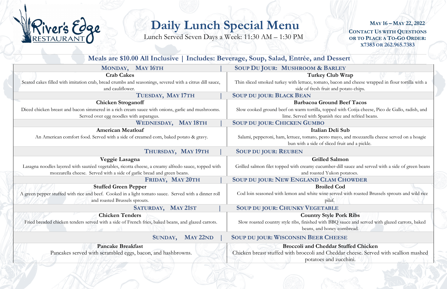**CONTACT US WITH QUESTIONS OR TO PLACE A TO-GO ORDER: X7383 OR 262.965.7383 MAY 16 – MAY 22, 2022**

#### Club Wrap

b, bacon and cheese wrapped in flour tortilla with a it and potato chips.

#### **und Beef Tacos**

pped with Cotija cheese, Pico de Gallo, radish, and ish rice and refried beans.

### **Deli Sub**

o mayo, and mozzarella cheese served on a hoagie liced fruit and a pickle.

### **Salmon**

her-dill sauce and served with a side of green beans Yukon potatoes.

 $H$ **M CHOWDER** 



## **Daily Lunch Special Menu**

Lunch Served Seven Days a Week: 11:30 AM – 1:30 PM

Cheddar cheese. Served with scallion mashed potatoes and zucchini.

| Meals are \$10.00 All Inclusive   Includes: Beverage, Soup, Salad, Entrée, and Dessert                  |                                                                                     |
|---------------------------------------------------------------------------------------------------------|-------------------------------------------------------------------------------------|
| MONDAY, MAY 16TH                                                                                        | <b>SOUP DU JOUR: MUSHROOM &amp; BARLEY</b>                                          |
| <b>Crab Cakes</b>                                                                                       | Turkey Club Wra                                                                     |
| Seared cakes filled with imitation crab, bread crumbs and seasonings, severed with a citrus dill sauce, | Thin sliced smoked turkey with lettuce, tomato, bacon and                           |
| and cauliflower.                                                                                        | side of fresh fruit and potat                                                       |
| TUESDAY, MAY 17TH                                                                                       | <b>SOUP DU JOUR: BLACK BEAN</b>                                                     |
| <b>Chicken Stroganoff</b>                                                                               | <b>Barbacoa Ground Beef</b>                                                         |
| Diced chicken breast and bacon simmered in a rich cream sauce with onions, garlic and mushrooms.        | Slow cooked ground beef on warm tortilla, topped with O                             |
| Served over egg noodles with asparagus.                                                                 | lime. Served with Spanish rice and                                                  |
| WEDNESDAY, MAY 18TH                                                                                     | <b>SOUP DU JOUR: CHICKEN GUMBO</b>                                                  |
| <b>American Meatloaf</b>                                                                                | Italian Deli Sub                                                                    |
| An American comfort food. Served with a side of creamed corn, baked potato & gravy.                     | Salami, pepperoni, ham, lettuce, tomato, pesto mayo, and                            |
|                                                                                                         | bun with a side of sliced fruit an                                                  |
| THURSDAY, MAY 19TH                                                                                      | <b>SOUP DU JOUR: REUBEN</b>                                                         |
| Veggie Lasagna                                                                                          | <b>Grilled Salmon</b>                                                               |
| Lasagna noodles layered with sautéed vegetables, ricotta cheese, a creamy alfredo sauce, topped with    | Grilled salmon filet topped with creamy cucumber-dill sau                           |
|                                                                                                         |                                                                                     |
| mozzarella cheese. Served with a side of garlic bread and green beans.                                  | and roasted Yukon potat                                                             |
| FRIDAY, MAY 20TH                                                                                        | <b>SOUP DU JOUR: NEW ENGLAND CLAM CHO</b>                                           |
| <b>Stuffed Green Pepper</b>                                                                             | <b>Broiled Cod</b>                                                                  |
| A green pepper stuffed with rice and beef. Cooked in a light tomato sauce. Served with a dinner roll    | Cod loin seasoned with lemon and white wine served wit                              |
| and roasted Brussels sprouts.                                                                           | pilaf.                                                                              |
|                                                                                                         |                                                                                     |
| SATURDAY, MAY 21ST<br><b>Chicken Tenders</b>                                                            | <b>SOUP DU JOUR: CHUNKY VEGETABLE</b>                                               |
|                                                                                                         | <b>Country Style Pork I</b>                                                         |
| Fried breaded chicken tenders served with a side of French fries, baked beans, and glazed carrots.      | Slow roasted country style ribs, finished with BBQ sauce<br>beans, and honey cornbi |
| MAY 22ND<br>SUNDAY,                                                                                     | <b>SOUP DU JOUR: WISCONSIN BEER CHEESE</b>                                          |
| <b>Pancake Breakfast</b>                                                                                | <b>Broccoli and Cheddar Stuff</b>                                                   |
| Pancakes served with scrambled eggs, bacon, and hashbrowns.                                             | Chicken breast stuffed with broccoli and Cheddar cl                                 |

#### **Broiled Cod**

e served with roasted Brussels sprouts and wild rice ilaf.

#### **Contry Style Pork Ribs**

BBQ sauce and served with glazed carrots, baked oney cornbread.

#### **Brookly** Chicken